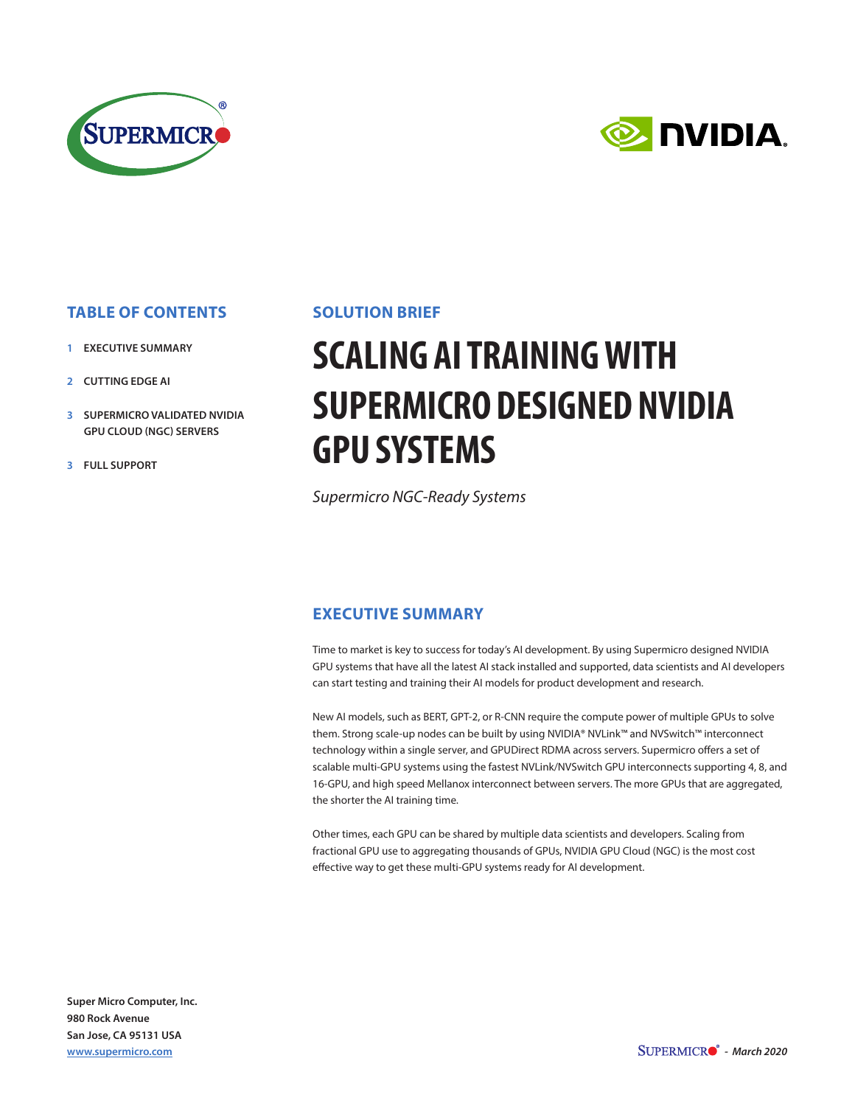



## **TABLE OF CONTENTS**

- **1 EXECUTIVE SUMMARY**
- **2 CUTTING EDGE AI**
- **3 SUPERMICRO VALIDATED NVIDIA GPU CLOUD (NGC) SERVERS**
- **3 FULL SUPPORT**

#### **SOLUTION BRIEF**

# **SCALING AI TRAINING WITH SUPERMICRO DESIGNED NVIDIA GPU SYSTEMS**

*Supermicro NGC-Ready Systems*

### **EXECUTIVE SUMMARY**

Time to market is key to success for today's AI development. By using Supermicro designed NVIDIA GPU systems that have all the latest AI stack installed and supported, data scientists and AI developers can start testing and training their AI models for product development and research.

New AI models, such as BERT, GPT-2, or R-CNN require the compute power of multiple GPUs to solve them. Strong scale-up nodes can be built by using NVIDIA® NVLink™ and NVSwitch™ interconnect technology within a single server, and GPUDirect RDMA across servers. Supermicro offers a set of scalable multi-GPU systems using the fastest NVLink/NVSwitch GPU interconnects supporting 4, 8, and 16-GPU, and high speed Mellanox interconnect between servers. The more GPUs that are aggregated, the shorter the AI training time.

Other times, each GPU can be shared by multiple data scientists and developers. Scaling from fractional GPU use to aggregating thousands of GPUs, NVIDIA GPU Cloud (NGC) is the most cost effective way to get these multi-GPU systems ready for AI development.

**Super Micro Computer, Inc. 980 Rock Avenue San Jose, CA 95131 USA www.supermicro.com**

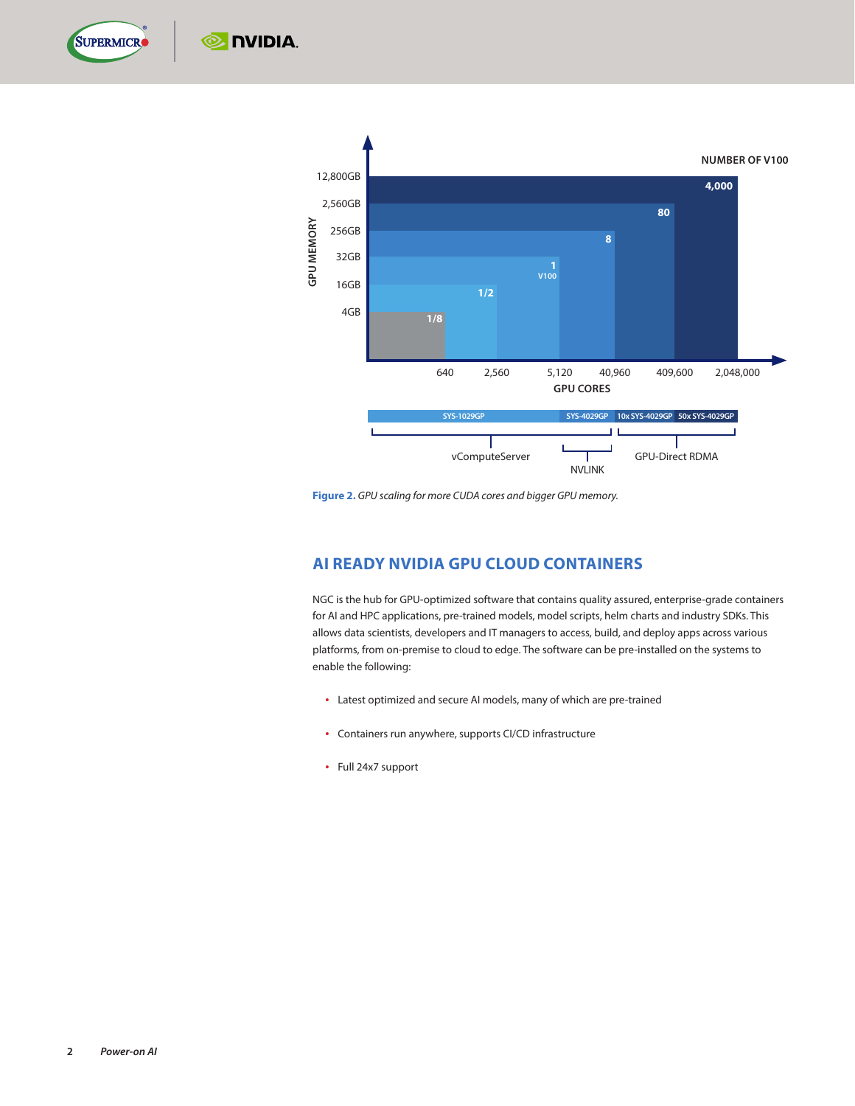

 $\odot$  DVIDIA.



**Figure 2.** *GPU scaling for more CUDA cores and bigger GPU memory.*

### **AI READY NVIDIA GPU CLOUD CONTAINERS**

NGC is the hub for GPU-optimized software that contains quality assured, enterprise-grade containers for AI and HPC applications, pre-trained models, model scripts, helm charts and industry SDKs. This allows data scientists, developers and IT managers to access, build, and deploy apps across various platforms, from on-premise to cloud to edge. The software can be pre-installed on the systems to enable the following:

- Latest optimized and secure AI models, many of which are pre-trained
- Containers run anywhere, supports CI/CD infrastructure
- Full 24x7 support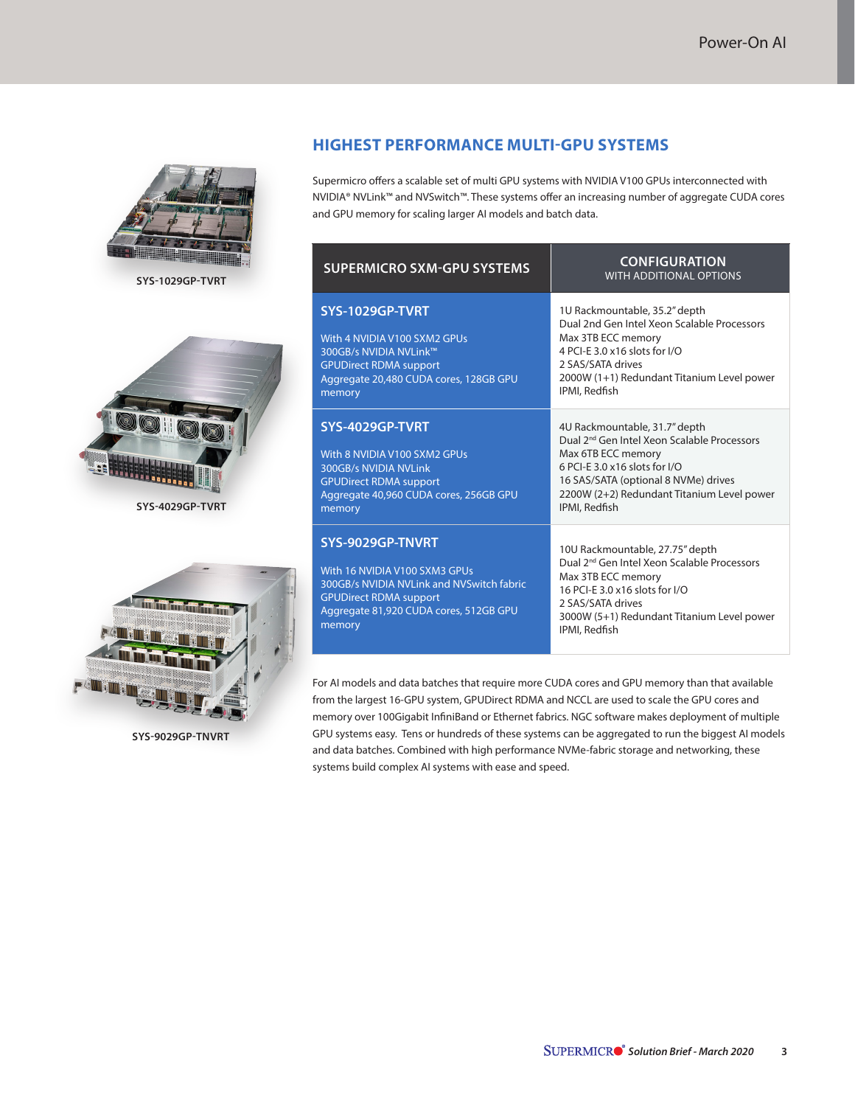

**SYS-1029GP-TVRT**



**SYS-4029GP-TVRT**



**SYS-9029GP-TNVRT**

#### **HIGHEST PERFORMANCE MULTI-GPU SYSTEMS**

Supermicro offers a scalable set of multi GPU systems with NVIDIA V100 GPUs interconnected with NVIDIA® NVLink™ and NVSwitch™. These systems offer an increasing number of aggregate CUDA cores and GPU memory for scaling larger AI models and batch data.

| <b>SUPERMICRO SXM-GPU SYSTEMS</b>                                                                                                                                                   | <b>CONFIGURATION</b><br><b>WITH ADDITIONAL OPTIONS</b>                                                                                                                                                                                                                  |
|-------------------------------------------------------------------------------------------------------------------------------------------------------------------------------------|-------------------------------------------------------------------------------------------------------------------------------------------------------------------------------------------------------------------------------------------------------------------------|
| SYS-1029GP-TVRT<br>With 4 NVIDIA V100 SXM2 GPUs<br>300GB/s NVIDIA NVLink™<br><b>GPUDirect RDMA support</b><br>Aggregate 20,480 CUDA cores, 128GB GPU<br>memory                      | 1U Rackmountable, 35.2" depth<br>Dual 2nd Gen Intel Xeon Scalable Processors<br>Max 3TB ECC memory<br>4 PCI-E 3.0 x16 slots for I/O<br>2 SAS/SATA drives<br>2000W (1+1) Redundant Titanium Level power<br>IPMI, Redfish                                                 |
| SYS-4029GP-TVRT<br>With 8 NVIDIA V100 SXM2 GPUs<br>300GB/s NVIDIA NVLink<br><b>GPUDirect RDMA support</b><br>Aggregate 40,960 CUDA cores, 256GB GPU<br>memory                       | 4U Rackmountable, 31.7" depth<br>Dual 2 <sup>nd</sup> Gen Intel Xeon Scalable Processors<br>Max 6TB ECC memory<br>$6$ PCI-F 3.0 $\times$ 16 slots for I/O<br>16 SAS/SATA (optional 8 NVMe) drives<br>2200W (2+2) Redundant Titanium Level power<br><b>IPMI, Redfish</b> |
| SYS-9029GP-TNVRT<br>With 16 NVIDIA V100 SXM3 GPUs<br>300GB/s NVIDIA NVLink and NVSwitch fabric<br><b>GPUDirect RDMA support</b><br>Aggregate 81,920 CUDA cores, 512GB GPU<br>memory | 10U Rackmountable, 27.75" depth<br>Dual 2 <sup>nd</sup> Gen Intel Xeon Scalable Processors<br>Max 3TB ECC memory<br>16 PCI-F 3.0 x 16 slots for I/O<br>2 SAS/SATA drives<br>3000W (5+1) Redundant Titanium Level power<br>IPMI, Redfish                                 |

For AI models and data batches that require more CUDA cores and GPU memory than that available from the largest 16-GPU system, GPUDirect RDMA and NCCL are used to scale the GPU cores and memory over 100Gigabit InfiniBand or Ethernet fabrics. NGC software makes deployment of multiple GPU systems easy. Tens or hundreds of these systems can be aggregated to run the biggest AI models and data batches. Combined with high performance NVMe-fabric storage and networking, these systems build complex AI systems with ease and speed.